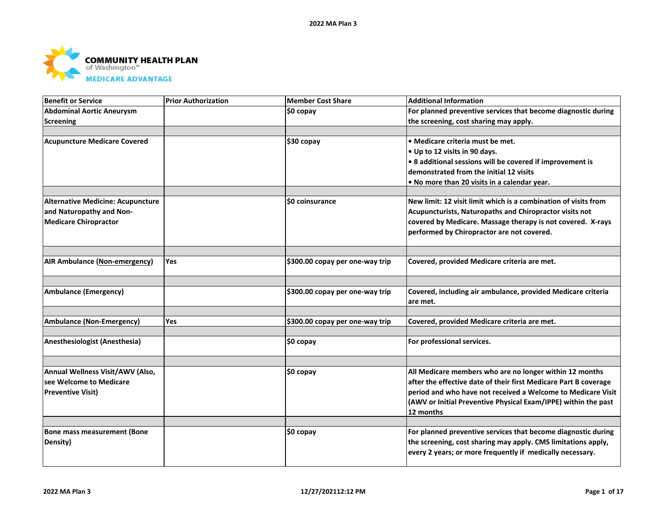

| <b>Benefit or Service</b>                | <b>Prior Authorization</b> | <b>Member Cost Share</b>        | <b>Additional Information</b>                                    |
|------------------------------------------|----------------------------|---------------------------------|------------------------------------------------------------------|
| <b>Abdominal Aortic Aneurysm</b>         |                            | \$0 copay                       | For planned preventive services that become diagnostic during    |
| <b>Screening</b>                         |                            |                                 | the screening, cost sharing may apply.                           |
|                                          |                            |                                 |                                                                  |
| <b>Acupuncture Medicare Covered</b>      |                            | \$30 copay                      | • Medicare criteria must be met.                                 |
|                                          |                            |                                 | • Up to 12 visits in 90 days.                                    |
|                                          |                            |                                 | • 8 additional sessions will be covered if improvement is        |
|                                          |                            |                                 | demonstrated from the initial 12 visits                          |
|                                          |                            |                                 | . No more than 20 visits in a calendar year.                     |
|                                          |                            |                                 |                                                                  |
| <b>Alternative Medicine: Acupuncture</b> |                            | \$0 coinsurance                 | New limit: 12 visit limit which is a combination of visits from  |
| and Naturopathy and Non-                 |                            |                                 | Acupuncturists, Naturopaths and Chiropractor visits not          |
| <b>Medicare Chiropractor</b>             |                            |                                 | covered by Medicare. Massage therapy is not covered. X-rays      |
|                                          |                            |                                 | performed by Chiropractor are not covered.                       |
|                                          |                            |                                 |                                                                  |
|                                          |                            |                                 |                                                                  |
| <b>AIR Ambulance (Non-emergency)</b>     | Yes                        | \$300.00 copay per one-way trip | Covered, provided Medicare criteria are met.                     |
|                                          |                            |                                 |                                                                  |
| <b>Ambulance (Emergency)</b>             |                            | \$300.00 copay per one-way trip | Covered, including air ambulance, provided Medicare criteria     |
|                                          |                            |                                 | are met.                                                         |
|                                          |                            |                                 |                                                                  |
| <b>Ambulance (Non-Emergency)</b>         | Yes                        | \$300.00 copay per one-way trip | Covered, provided Medicare criteria are met.                     |
|                                          |                            |                                 |                                                                  |
| Anesthesiologist (Anesthesia)            |                            | \$0 copay                       | For professional services.                                       |
|                                          |                            |                                 |                                                                  |
| Annual Wellness Visit/AWV (Also,         |                            | ∣\$0 copay                      | All Medicare members who are no longer within 12 months          |
| lsee Welcome to Medicare                 |                            |                                 | after the effective date of their first Medicare Part B coverage |
| <b>Preventive Visit)</b>                 |                            |                                 | period and who have not received a Welcome to Medicare Visit     |
|                                          |                            |                                 | (AWV or Initial Preventive Physical Exam/IPPE) within the past   |
|                                          |                            |                                 | 12 months                                                        |
|                                          |                            |                                 |                                                                  |
| <b>Bone mass measurement (Bone</b>       |                            | \$0 copay                       | For planned preventive services that become diagnostic during    |
| Density)                                 |                            |                                 | the screening, cost sharing may apply. CMS limitations apply,    |
|                                          |                            |                                 | every 2 years; or more frequently if medically necessary.        |
|                                          |                            |                                 |                                                                  |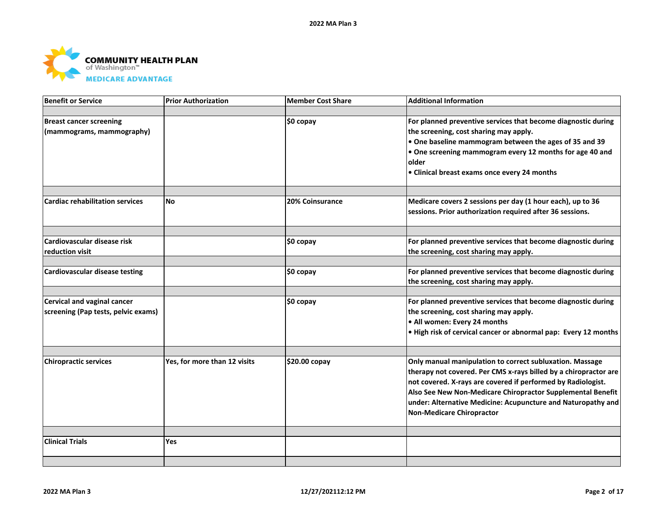

| <b>Benefit or Service</b>              | <b>Prior Authorization</b>   | <b>Member Cost Share</b> | <b>Additional Information</b>                                    |
|----------------------------------------|------------------------------|--------------------------|------------------------------------------------------------------|
|                                        |                              |                          |                                                                  |
| <b>Breast cancer screening</b>         |                              | \$0 copay                | For planned preventive services that become diagnostic during    |
| (mammograms, mammography)              |                              |                          | the screening, cost sharing may apply.                           |
|                                        |                              |                          | . One baseline mammogram between the ages of 35 and 39           |
|                                        |                              |                          | • One screening mammogram every 12 months for age 40 and         |
|                                        |                              |                          | older                                                            |
|                                        |                              |                          | • Clinical breast exams once every 24 months                     |
|                                        |                              |                          |                                                                  |
|                                        |                              |                          |                                                                  |
| <b>Cardiac rehabilitation services</b> | <b>No</b>                    | 20% Coinsurance          | Medicare covers 2 sessions per day (1 hour each), up to 36       |
|                                        |                              |                          | sessions. Prior authorization required after 36 sessions.        |
|                                        |                              |                          |                                                                  |
| Cardiovascular disease risk            |                              | \$0 copay                | For planned preventive services that become diagnostic during    |
| reduction visit                        |                              |                          | the screening, cost sharing may apply.                           |
|                                        |                              |                          |                                                                  |
| <b>Cardiovascular disease testing</b>  |                              | \$0 copay                | For planned preventive services that become diagnostic during    |
|                                        |                              |                          | the screening, cost sharing may apply.                           |
|                                        |                              |                          |                                                                  |
| Cervical and vaginal cancer            |                              | \$0 copay                | For planned preventive services that become diagnostic during    |
| screening (Pap tests, pelvic exams)    |                              |                          | the screening, cost sharing may apply.                           |
|                                        |                              |                          | • All women: Every 24 months                                     |
|                                        |                              |                          | . High risk of cervical cancer or abnormal pap: Every 12 months  |
|                                        |                              |                          |                                                                  |
| <b>Chiropractic services</b>           | Yes, for more than 12 visits | \$20.00 copay            | Only manual manipulation to correct subluxation. Massage         |
|                                        |                              |                          | therapy not covered. Per CMS x-rays billed by a chiropractor are |
|                                        |                              |                          | not covered. X-rays are covered if performed by Radiologist.     |
|                                        |                              |                          | Also See New Non-Medicare Chiropractor Supplemental Benefit      |
|                                        |                              |                          | under: Alternative Medicine: Acupuncture and Naturopathy and     |
|                                        |                              |                          | Non-Medicare Chiropractor                                        |
|                                        |                              |                          |                                                                  |
| <b>Clinical Trials</b>                 | Yes                          |                          |                                                                  |
|                                        |                              |                          |                                                                  |
|                                        |                              |                          |                                                                  |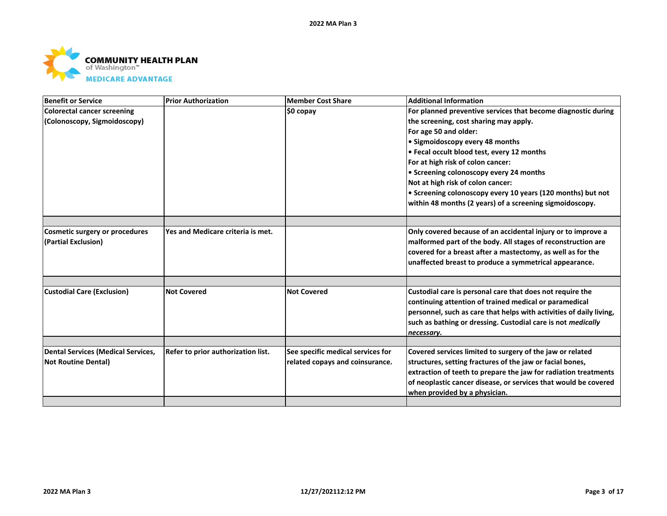

| <b>Benefit or Service</b>                 | <b>Prior Authorization</b>         | <b>Member Cost Share</b>          | <b>Additional Information</b>                                       |
|-------------------------------------------|------------------------------------|-----------------------------------|---------------------------------------------------------------------|
| <b>Colorectal cancer screening</b>        |                                    | ∣\$0 copay                        | For planned preventive services that become diagnostic during       |
| (Colonoscopy, Sigmoidoscopy)              |                                    |                                   | the screening, cost sharing may apply.                              |
|                                           |                                    |                                   | For age 50 and older:                                               |
|                                           |                                    |                                   | • Sigmoidoscopy every 48 months                                     |
|                                           |                                    |                                   | • Fecal occult blood test, every 12 months                          |
|                                           |                                    |                                   | For at high risk of colon cancer:                                   |
|                                           |                                    |                                   | • Screening colonoscopy every 24 months                             |
|                                           |                                    |                                   | Not at high risk of colon cancer:                                   |
|                                           |                                    |                                   | • Screening colonoscopy every 10 years (120 months) but not         |
|                                           |                                    |                                   | within 48 months (2 years) of a screening sigmoidoscopy.            |
|                                           |                                    |                                   |                                                                     |
| <b>Cosmetic surgery or procedures</b>     | Yes and Medicare criteria is met.  |                                   | Only covered because of an accidental injury or to improve a        |
| (Partial Exclusion)                       |                                    |                                   | malformed part of the body. All stages of reconstruction are        |
|                                           |                                    |                                   | covered for a breast after a mastectomy, as well as for the         |
|                                           |                                    |                                   | unaffected breast to produce a symmetrical appearance.              |
|                                           |                                    |                                   |                                                                     |
|                                           |                                    |                                   |                                                                     |
| <b>Custodial Care (Exclusion)</b>         | <b>Not Covered</b>                 | <b>Not Covered</b>                | Custodial care is personal care that does not require the           |
|                                           |                                    |                                   | continuing attention of trained medical or paramedical              |
|                                           |                                    |                                   | personnel, such as care that helps with activities of daily living, |
|                                           |                                    |                                   | such as bathing or dressing. Custodial care is not medically        |
|                                           |                                    |                                   | necessary.                                                          |
| <b>Dental Services (Medical Services,</b> | Refer to prior authorization list. | See specific medical services for | Covered services limited to surgery of the jaw or related           |
| <b>Not Routine Dental)</b>                |                                    | related copays and coinsurance.   | structures, setting fractures of the jaw or facial bones,           |
|                                           |                                    |                                   | extraction of teeth to prepare the jaw for radiation treatments     |
|                                           |                                    |                                   | of neoplastic cancer disease, or services that would be covered     |
|                                           |                                    |                                   | when provided by a physician.                                       |
|                                           |                                    |                                   |                                                                     |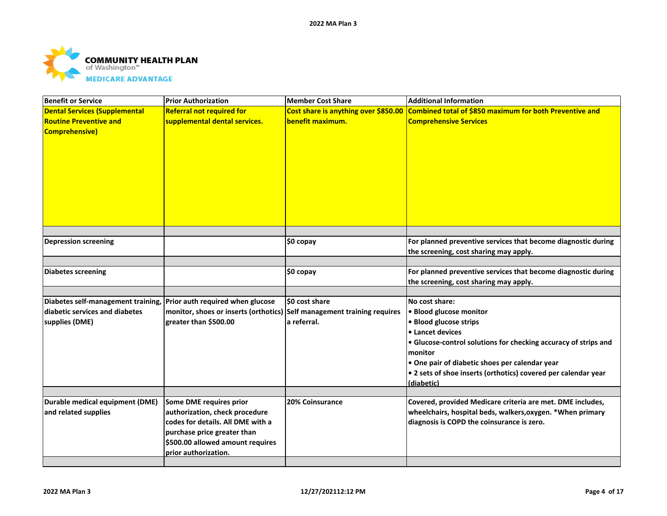

| <b>Benefit or Service</b>                                                                                               | <b>Prior Authorization</b>                                                                                                                                                                | <b>Member Cost Share</b>                                 | <b>Additional Information</b>                                                                                                                                                                                                                                                                           |
|-------------------------------------------------------------------------------------------------------------------------|-------------------------------------------------------------------------------------------------------------------------------------------------------------------------------------------|----------------------------------------------------------|---------------------------------------------------------------------------------------------------------------------------------------------------------------------------------------------------------------------------------------------------------------------------------------------------------|
| <b>Dental Services (Supplemental</b><br><b>Routine Preventive and</b><br><b>Comprehensive)</b>                          | <b>Referral not required for</b><br>supplemental dental services.                                                                                                                         | Cost share is anything over \$850.00<br>benefit maximum. | Combined total of \$850 maximum for both Preventive and<br><b>Comprehensive Services</b>                                                                                                                                                                                                                |
|                                                                                                                         |                                                                                                                                                                                           |                                                          |                                                                                                                                                                                                                                                                                                         |
| <b>Depression screening</b>                                                                                             |                                                                                                                                                                                           | \$0 copay                                                | For planned preventive services that become diagnostic during<br>the screening, cost sharing may apply.                                                                                                                                                                                                 |
| <b>Diabetes screening</b>                                                                                               |                                                                                                                                                                                           | \$0 copay                                                | For planned preventive services that become diagnostic during<br>the screening, cost sharing may apply.                                                                                                                                                                                                 |
|                                                                                                                         |                                                                                                                                                                                           |                                                          |                                                                                                                                                                                                                                                                                                         |
| Diabetes self-management training, Prior auth required when glucose<br>diabetic services and diabetes<br>supplies (DME) | monitor, shoes or inserts (orthotics) Self management training requires<br>greater than \$500.00                                                                                          | \$0 cost share<br>a referral.                            | No cost share:<br>· Blood glucose monitor<br>• Blood glucose strips<br>• Lancet devices<br>• Glucose-control solutions for checking accuracy of strips and<br>monitor<br>• One pair of diabetic shoes per calendar year<br>• 2 sets of shoe inserts (orthotics) covered per calendar year<br>(diabetic) |
| Durable medical equipment (DME)                                                                                         |                                                                                                                                                                                           | <b>20% Coinsurance</b>                                   |                                                                                                                                                                                                                                                                                                         |
| and related supplies                                                                                                    | Some DME requires prior<br>authorization, check procedure<br>codes for details. All DME with a<br>purchase price greater than<br>\$500.00 allowed amount requires<br>prior authorization. |                                                          | Covered, provided Medicare criteria are met. DME includes,<br>wheelchairs, hospital beds, walkers, oxygen. * When primary<br>diagnosis is COPD the coinsurance is zero.                                                                                                                                 |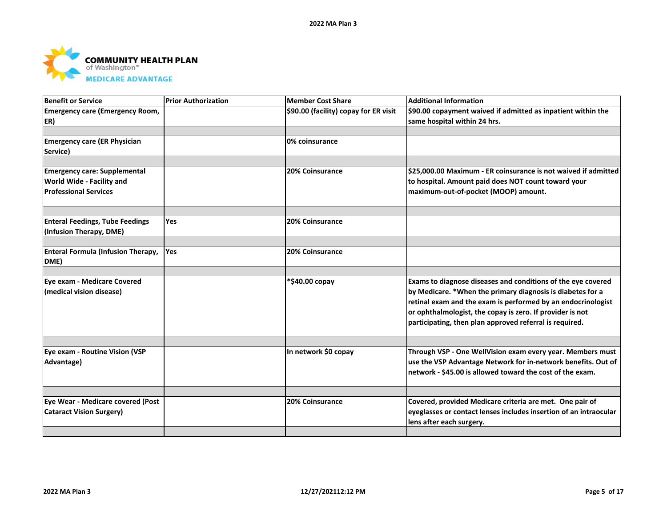

| Benefit or Service                     | <b>Prior Authorization</b> | Member Cost Share                     | <b>Additional Information</b>                                     |
|----------------------------------------|----------------------------|---------------------------------------|-------------------------------------------------------------------|
| <b>Emergency care (Emergency Room,</b> |                            | \$90.00 (facility) copay for ER visit | \$90.00 copayment waived if admitted as inpatient within the      |
| ER)                                    |                            |                                       | same hospital within 24 hrs.                                      |
|                                        |                            |                                       |                                                                   |
| <b>Emergency care (ER Physician</b>    |                            | 0% coinsurance                        |                                                                   |
| Service)                               |                            |                                       |                                                                   |
|                                        |                            |                                       |                                                                   |
| <b>Emergency care: Supplemental</b>    |                            | 20% Coinsurance                       | \$25,000.00 Maximum - ER coinsurance is not waived if admitted    |
| World Wide - Facility and              |                            |                                       | to hospital. Amount paid does NOT count toward your               |
| <b>Professional Services</b>           |                            |                                       | maximum-out-of-pocket (MOOP) amount.                              |
|                                        |                            |                                       |                                                                   |
| <b>Enteral Feedings, Tube Feedings</b> | <b>Yes</b>                 | 20% Coinsurance                       |                                                                   |
| (Infusion Therapy, DME)                |                            |                                       |                                                                   |
| Enteral Formula (Infusion Therapy,     | Yes                        | 20% Coinsurance                       |                                                                   |
| DME)                                   |                            |                                       |                                                                   |
|                                        |                            |                                       |                                                                   |
| Eye exam - Medicare Covered            |                            | *\$40.00 copay                        | Exams to diagnose diseases and conditions of the eye covered      |
| (medical vision disease)               |                            |                                       | by Medicare. *When the primary diagnosis is diabetes for a        |
|                                        |                            |                                       | retinal exam and the exam is performed by an endocrinologist      |
|                                        |                            |                                       | or ophthalmologist, the copay is zero. If provider is not         |
|                                        |                            |                                       | participating, then plan approved referral is required.           |
|                                        |                            |                                       |                                                                   |
| Eye exam - Routine Vision (VSP         |                            | In network \$0 copay                  | Through VSP - One WellVision exam every year. Members must        |
| Advantage)                             |                            |                                       | use the VSP Advantage Network for in-network benefits. Out of     |
|                                        |                            |                                       | network - \$45.00 is allowed toward the cost of the exam.         |
|                                        |                            |                                       |                                                                   |
| Eye Wear - Medicare covered (Post      |                            | <b>20% Coinsurance</b>                | Covered, provided Medicare criteria are met. One pair of          |
| <b>Cataract Vision Surgery)</b>        |                            |                                       | eyeglasses or contact lenses includes insertion of an intraocular |
|                                        |                            |                                       | lens after each surgery.                                          |
|                                        |                            |                                       |                                                                   |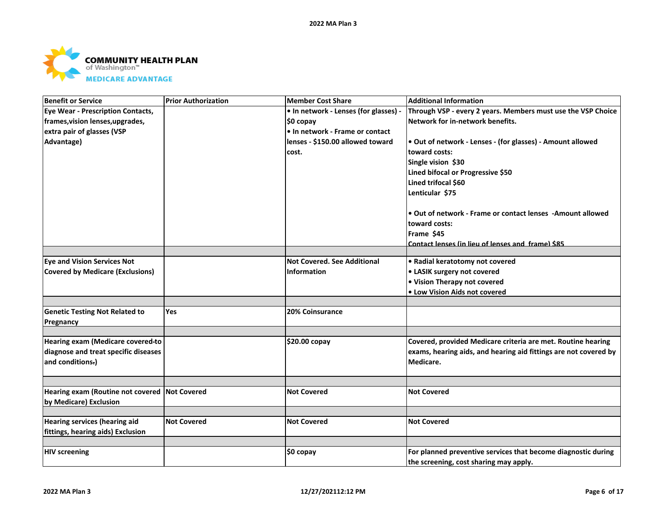

| <b>Benefit or Service</b>                                               | <b>Prior Authorization</b> | <b>Member Cost Share</b>              | <b>Additional Information</b>                                    |
|-------------------------------------------------------------------------|----------------------------|---------------------------------------|------------------------------------------------------------------|
| <b>Eye Wear - Prescription Contacts,</b>                                |                            | • In network - Lenses (for glasses) - | Through VSP - every 2 years. Members must use the VSP Choice     |
| frames, vision lenses, upgrades,                                        |                            | \$0 copay                             | Network for in-network benefits.                                 |
| extra pair of glasses (VSP                                              |                            | • In network - Frame or contact       |                                                                  |
| Advantage)                                                              |                            | lenses - \$150.00 allowed toward      | . Out of network - Lenses - (for glasses) - Amount allowed       |
|                                                                         |                            | cost.                                 | toward costs:                                                    |
|                                                                         |                            |                                       | Single vision \$30                                               |
|                                                                         |                            |                                       | Lined bifocal or Progressive \$50                                |
|                                                                         |                            |                                       | Lined trifocal \$60                                              |
|                                                                         |                            |                                       | Lenticular \$75                                                  |
|                                                                         |                            |                                       | • Out of network - Frame or contact lenses - Amount allowed      |
|                                                                         |                            |                                       | toward costs:                                                    |
|                                                                         |                            |                                       | Frame \$45                                                       |
|                                                                         |                            |                                       | Contact lenses (in lieu of lenses and frame) \$85                |
|                                                                         |                            |                                       |                                                                  |
| <b>Eye and Vision Services Not</b>                                      |                            | <b>Not Covered. See Additional</b>    | • Radial keratotomy not covered                                  |
| <b>Covered by Medicare (Exclusions)</b>                                 |                            | <b>Information</b>                    | • LASIK surgery not covered                                      |
|                                                                         |                            |                                       | • Vision Therapy not covered                                     |
|                                                                         |                            |                                       | • Low Vision Aids not covered                                    |
| <b>Genetic Testing Not Related to</b>                                   | Yes                        | 20% Coinsurance                       |                                                                  |
| Pregnancy                                                               |                            |                                       |                                                                  |
|                                                                         |                            |                                       |                                                                  |
| Hearing exam (Medicare covered-to                                       |                            | \$20.00 copay                         | Covered, provided Medicare criteria are met. Routine hearing     |
| diagnose and treat specific diseases                                    |                            |                                       | exams, hearing aids, and hearing aid fittings are not covered by |
| and conditions-)                                                        |                            |                                       | Medicare.                                                        |
|                                                                         |                            |                                       |                                                                  |
| Hearing exam (Routine not covered Not Covered<br>by Medicare) Exclusion |                            | <b>Not Covered</b>                    | <b>Not Covered</b>                                               |
|                                                                         |                            |                                       |                                                                  |
| <b>Hearing services (hearing aid</b>                                    | <b>Not Covered</b>         | <b>Not Covered</b>                    | <b>Not Covered</b>                                               |
| fittings, hearing aids) Exclusion                                       |                            |                                       |                                                                  |
|                                                                         |                            |                                       |                                                                  |
| <b>HIV screening</b>                                                    |                            | \$0 copay                             | For planned preventive services that become diagnostic during    |
|                                                                         |                            |                                       | the screening, cost sharing may apply.                           |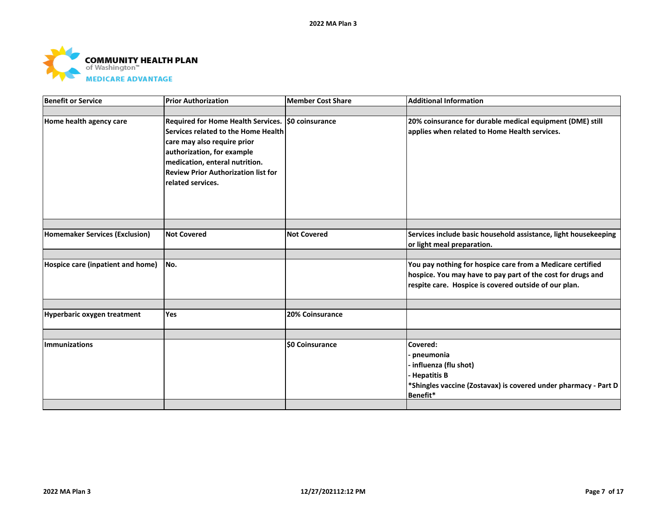

| <b>Prior Authorization</b>                                                                                                                                     | <b>Member Cost Share</b> | <b>Additional Information</b>                                                                                                                                                      |
|----------------------------------------------------------------------------------------------------------------------------------------------------------------|--------------------------|------------------------------------------------------------------------------------------------------------------------------------------------------------------------------------|
|                                                                                                                                                                |                          |                                                                                                                                                                                    |
| care may also require prior<br>authorization, for example<br>medication, enteral nutrition.<br><b>Review Prior Authorization list for</b><br>related services. |                          | 20% coinsurance for durable medical equipment (DME) still<br>applies when related to Home Health services.                                                                         |
|                                                                                                                                                                |                          |                                                                                                                                                                                    |
| <b>Not Covered</b>                                                                                                                                             | <b>Not Covered</b>       | Services include basic household assistance, light housekeeping<br>or light meal preparation.                                                                                      |
|                                                                                                                                                                |                          |                                                                                                                                                                                    |
|                                                                                                                                                                |                          | You pay nothing for hospice care from a Medicare certified<br>hospice. You may have to pay part of the cost for drugs and<br>respite care. Hospice is covered outside of our plan. |
|                                                                                                                                                                |                          |                                                                                                                                                                                    |
|                                                                                                                                                                |                          |                                                                                                                                                                                    |
|                                                                                                                                                                |                          |                                                                                                                                                                                    |
|                                                                                                                                                                |                          | Covered:<br>pneumonia<br>influenza (flu shot)<br><b>Hepatitis B</b><br>*Shingles vaccine (Zostavax) is covered under pharmacy - Part D<br>Benefit*                                 |
|                                                                                                                                                                | No.<br>Yes               | Required for Home Health Services.   \$0 coinsurance<br>Services related to the Home Health<br><b>20% Coinsurance</b><br><b>\$0 Coinsurance</b>                                    |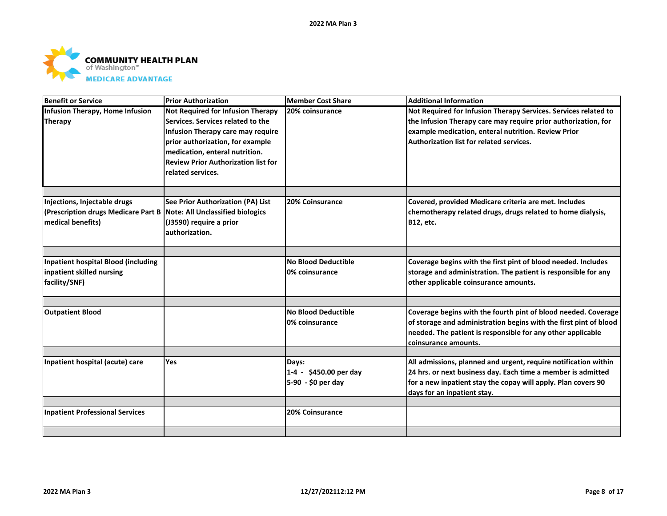

| <b>Benefit or Service</b>                                                                                                 | <b>Prior Authorization</b>                                                                                                                                                                                                                           | Member Cost Share                            | <b>Additional Information</b>                                                                                                                                                                                                        |
|---------------------------------------------------------------------------------------------------------------------------|------------------------------------------------------------------------------------------------------------------------------------------------------------------------------------------------------------------------------------------------------|----------------------------------------------|--------------------------------------------------------------------------------------------------------------------------------------------------------------------------------------------------------------------------------------|
| Infusion Therapy, Home Infusion<br><b>Therapy</b>                                                                         | Not Required for Infusion Therapy<br>Services. Services related to the<br>Infusion Therapy care may require<br>prior authorization, for example<br>medication, enteral nutrition.<br><b>Review Prior Authorization list for</b><br>related services. | 20% coinsurance                              | Not Required for Infusion Therapy Services. Services related to<br>the Infusion Therapy care may require prior authorization, for<br>example medication, enteral nutrition. Review Prior<br>Authorization list for related services. |
|                                                                                                                           |                                                                                                                                                                                                                                                      |                                              |                                                                                                                                                                                                                                      |
| Injections, Injectable drugs<br>(Prescription drugs Medicare Part B Note: All Unclassified biologics<br>medical benefits) | See Prior Authorization (PA) List<br>(J3590) require a prior<br>lauthorization.                                                                                                                                                                      | 20% Coinsurance                              | Covered, provided Medicare criteria are met. Includes<br>chemotherapy related drugs, drugs related to home dialysis,<br><b>B12, etc.</b>                                                                                             |
|                                                                                                                           |                                                                                                                                                                                                                                                      |                                              |                                                                                                                                                                                                                                      |
| Inpatient hospital Blood (including<br>inpatient skilled nursing<br>facility/SNF)                                         |                                                                                                                                                                                                                                                      | <b>No Blood Deductible</b><br>0% coinsurance | Coverage begins with the first pint of blood needed. Includes<br>storage and administration. The patient is responsible for any<br>other applicable coinsurance amounts.                                                             |
|                                                                                                                           |                                                                                                                                                                                                                                                      |                                              |                                                                                                                                                                                                                                      |
| <b>Outpatient Blood</b>                                                                                                   |                                                                                                                                                                                                                                                      | <b>No Blood Deductible</b><br>0% coinsurance | Coverage begins with the fourth pint of blood needed. Coverage<br>of storage and administration begins with the first pint of blood<br>needed. The patient is responsible for any other applicable<br>coinsurance amounts.           |
| Inpatient hospital (acute) care                                                                                           | Yes                                                                                                                                                                                                                                                  | Days:                                        | All admissions, planned and urgent, require notification within                                                                                                                                                                      |
|                                                                                                                           |                                                                                                                                                                                                                                                      | 1-4 - \$450.00 per day<br>5-90 - \$0 per day | 24 hrs. or next business day. Each time a member is admitted<br>for a new inpatient stay the copay will apply. Plan covers 90<br>days for an inpatient stay.                                                                         |
| <b>Inpatient Professional Services</b>                                                                                    |                                                                                                                                                                                                                                                      | <b>20% Coinsurance</b>                       |                                                                                                                                                                                                                                      |
|                                                                                                                           |                                                                                                                                                                                                                                                      |                                              |                                                                                                                                                                                                                                      |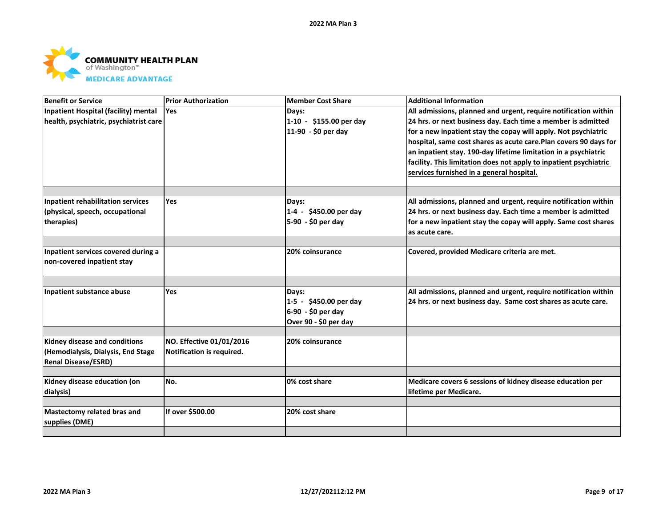

| Benefit or Service                                                | <b>Prior Authorization</b> | <b>Member Cost Share</b> | <b>Additional Information</b>                                     |
|-------------------------------------------------------------------|----------------------------|--------------------------|-------------------------------------------------------------------|
| Inpatient Hospital (facility) mental                              | Yes                        | Days:                    | All admissions, planned and urgent, require notification within   |
| health, psychiatric, psychiatrist-care                            |                            | 1-10 - \$155.00 per day  | 24 hrs. or next business day. Each time a member is admitted      |
|                                                                   |                            | 11-90 - \$0 per day      | for a new inpatient stay the copay will apply. Not psychiatric    |
|                                                                   |                            |                          | hospital, same cost shares as acute care.Plan covers 90 days for  |
|                                                                   |                            |                          | an inpatient stay. 190-day lifetime limitation in a psychiatric   |
|                                                                   |                            |                          | facility. This limitation does not apply to inpatient psychiatric |
|                                                                   |                            |                          | services furnished in a general hospital.                         |
|                                                                   |                            |                          |                                                                   |
| Inpatient rehabilitation services                                 | <b>Yes</b>                 | Days:                    | All admissions, planned and urgent, require notification within   |
| (physical, speech, occupational                                   |                            | 1-4 - \$450.00 per day   | 24 hrs. or next business day. Each time a member is admitted      |
| therapies)                                                        |                            | 5-90 - \$0 per day       | for a new inpatient stay the copay will apply. Same cost shares   |
|                                                                   |                            |                          | as acute care.                                                    |
|                                                                   |                            |                          |                                                                   |
| Inpatient services covered during a<br>non-covered inpatient stay |                            | 20% coinsurance          | Covered, provided Medicare criteria are met.                      |
|                                                                   |                            |                          |                                                                   |
|                                                                   |                            |                          |                                                                   |
| Inpatient substance abuse                                         | Yes                        | Days:                    | All admissions, planned and urgent, require notification within   |
|                                                                   |                            | 1-5 - \$450.00 per day   | 24 hrs. or next business day. Same cost shares as acute care.     |
|                                                                   |                            | 6-90 - \$0 per day       |                                                                   |
|                                                                   |                            | Over 90 - \$0 per day    |                                                                   |
|                                                                   |                            |                          |                                                                   |
| Kidney disease and conditions                                     | NO. Effective 01/01/2016   | 20% coinsurance          |                                                                   |
| (Hemodialysis, Dialysis, End Stage                                | Notification is required.  |                          |                                                                   |
| <b>Renal Disease/ESRD)</b>                                        |                            |                          |                                                                   |
|                                                                   | No.                        | 0% cost share            |                                                                   |
| Kidney disease education (on                                      |                            |                          | Medicare covers 6 sessions of kidney disease education per        |
| dialysis)                                                         |                            |                          | lifetime per Medicare.                                            |
| Mastectomy related bras and                                       | If over \$500.00           | 20% cost share           |                                                                   |
| supplies (DME)                                                    |                            |                          |                                                                   |
|                                                                   |                            |                          |                                                                   |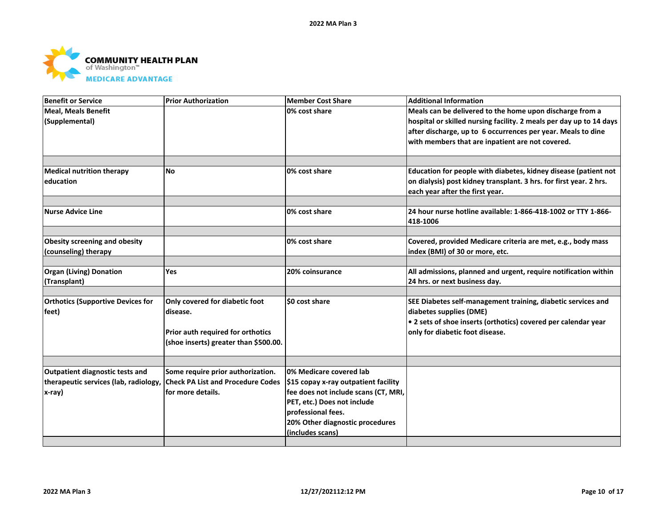

| <b>Benefit or Service</b>                                               | <b>Prior Authorization</b>            | Member Cost Share                      | <b>Additional Information</b>                                       |
|-------------------------------------------------------------------------|---------------------------------------|----------------------------------------|---------------------------------------------------------------------|
| Meal. Meals Benefit                                                     |                                       | 0% cost share                          | Meals can be delivered to the home upon discharge from a            |
| (Supplemental)                                                          |                                       |                                        | hospital or skilled nursing facility. 2 meals per day up to 14 days |
|                                                                         |                                       |                                        | after discharge, up to 6 occurrences per year. Meals to dine        |
|                                                                         |                                       |                                        | with members that are inpatient are not covered.                    |
|                                                                         |                                       |                                        |                                                                     |
|                                                                         |                                       |                                        |                                                                     |
| <b>Medical nutrition therapy</b>                                        | <b>No</b>                             | 0% cost share                          | Education for people with diabetes, kidney disease (patient not     |
| education                                                               |                                       |                                        | on dialysis) post kidney transplant. 3 hrs. for first year. 2 hrs.  |
|                                                                         |                                       |                                        | each year after the first year.                                     |
|                                                                         |                                       |                                        |                                                                     |
| <b>Nurse Advice Line</b>                                                |                                       | 0% cost share                          | 24 hour nurse hotline available: 1-866-418-1002 or TTY 1-866-       |
|                                                                         |                                       |                                        | 418-1006                                                            |
|                                                                         |                                       |                                        |                                                                     |
| <b>Obesity screening and obesity</b>                                    |                                       | 0% cost share                          | Covered, provided Medicare criteria are met, e.g., body mass        |
| (counseling) therapy                                                    |                                       |                                        | index (BMI) of 30 or more, etc.                                     |
|                                                                         |                                       |                                        |                                                                     |
| <b>Organ (Living) Donation</b>                                          | Yes                                   | 20% coinsurance                        | All admissions, planned and urgent, require notification within     |
| (Transplant)                                                            |                                       |                                        | 24 hrs. or next business day.                                       |
|                                                                         |                                       |                                        |                                                                     |
| <b>Orthotics (Supportive Devices for</b>                                | Only covered for diabetic foot        | \$0 cost share                         | SEE Diabetes self-management training, diabetic services and        |
| feet)                                                                   | disease.                              |                                        | diabetes supplies (DME)                                             |
|                                                                         |                                       |                                        | • 2 sets of shoe inserts (orthotics) covered per calendar year      |
|                                                                         | Prior auth required for orthotics     |                                        | only for diabetic foot disease.                                     |
|                                                                         | (shoe inserts) greater than \$500.00. |                                        |                                                                     |
|                                                                         |                                       |                                        |                                                                     |
| Outpatient diagnostic tests and                                         | Some require prior authorization.     | 0% Medicare covered lab                |                                                                     |
| therapeutic services (lab, radiology, Check PA List and Procedure Codes |                                       | $ $15$ copay x-ray outpatient facility |                                                                     |
| x-ray)                                                                  | for more details.                     | fee does not include scans (CT, MRI,   |                                                                     |
|                                                                         |                                       | PET, etc.) Does not include            |                                                                     |
|                                                                         |                                       | professional fees.                     |                                                                     |
|                                                                         |                                       | 20% Other diagnostic procedures        |                                                                     |
|                                                                         |                                       | (includes scans)                       |                                                                     |
|                                                                         |                                       |                                        |                                                                     |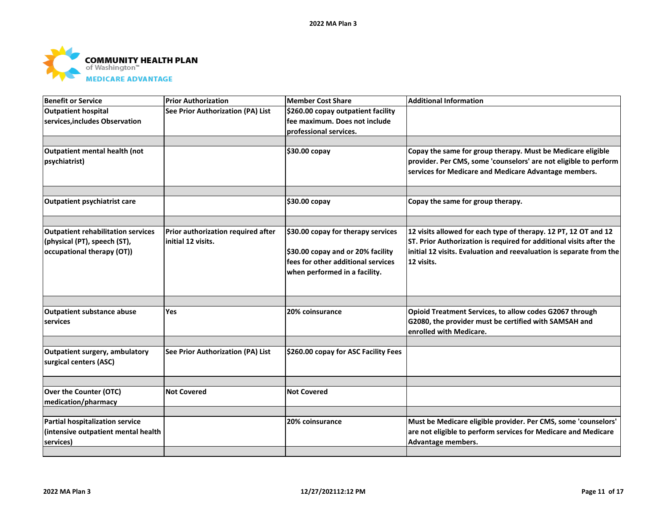

| Benefit or Service                        | <b>Prior Authorization</b>         | Member Cost Share                    | <b>Additional Information</b>                                       |
|-------------------------------------------|------------------------------------|--------------------------------------|---------------------------------------------------------------------|
| <b>Outpatient hospital</b>                | See Prior Authorization (PA) List  | \$260.00 copay outpatient facility   |                                                                     |
| services, includes Observation            |                                    | fee maximum. Does not include        |                                                                     |
|                                           |                                    | professional services.               |                                                                     |
| Outpatient mental health (not             |                                    |                                      | Copay the same for group therapy. Must be Medicare eligible         |
| psychiatrist)                             |                                    | \$30.00 copay                        | provider. Per CMS, some 'counselors' are not eligible to perform    |
|                                           |                                    |                                      | services for Medicare and Medicare Advantage members.               |
|                                           |                                    |                                      |                                                                     |
|                                           |                                    |                                      |                                                                     |
| <b>Outpatient psychiatrist care</b>       |                                    | \$30.00 copay                        | Copay the same for group therapy.                                   |
|                                           |                                    |                                      |                                                                     |
| <b>Outpatient rehabilitation services</b> | Prior authorization required after | \$30.00 copay for therapy services   | 12 visits allowed for each type of therapy. 12 PT, 12 OT and 12     |
| (physical (PT), speech (ST),              | initial 12 visits.                 |                                      | ST. Prior Authorization is required for additional visits after the |
| occupational therapy (OT))                |                                    | \$30.00 copay and or 20% facility    | initial 12 visits. Evaluation and reevaluation is separate from the |
|                                           |                                    | fees for other additional services   | 12 visits.                                                          |
|                                           |                                    | when performed in a facility.        |                                                                     |
|                                           |                                    |                                      |                                                                     |
|                                           |                                    |                                      |                                                                     |
| <b>Outpatient substance abuse</b>         | Yes                                | 20% coinsurance                      | Opioid Treatment Services, to allow codes G2067 through             |
| services                                  |                                    |                                      | G2080, the provider must be certified with SAMSAH and               |
|                                           |                                    |                                      | enrolled with Medicare.                                             |
| Outpatient surgery, ambulatory            | See Prior Authorization (PA) List  | \$260.00 copay for ASC Facility Fees |                                                                     |
| surgical centers (ASC)                    |                                    |                                      |                                                                     |
|                                           |                                    |                                      |                                                                     |
|                                           |                                    |                                      |                                                                     |
| Over the Counter (OTC)                    | <b>Not Covered</b>                 | <b>Not Covered</b>                   |                                                                     |
| medication/pharmacy                       |                                    |                                      |                                                                     |
| Partial hospitalization service           |                                    | 20% coinsurance                      | Must be Medicare eligible provider. Per CMS, some 'counselors'      |
| (intensive outpatient mental health       |                                    |                                      | are not eligible to perform services for Medicare and Medicare      |
| services)                                 |                                    |                                      | Advantage members.                                                  |
|                                           |                                    |                                      |                                                                     |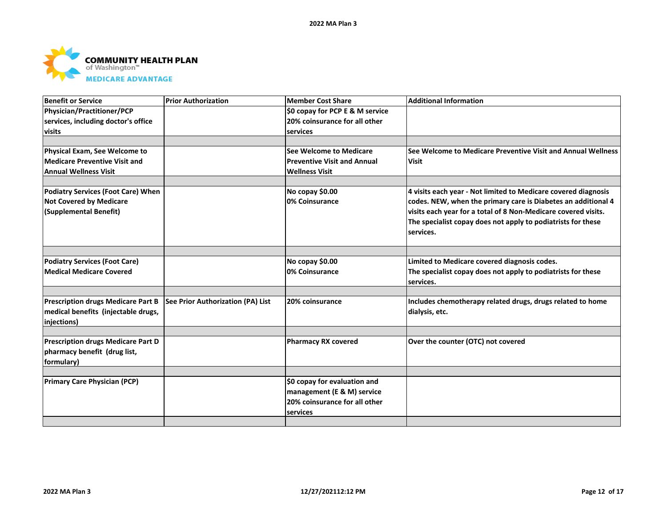

| <b>Benefit or Service</b>                 | <b>Prior Authorization</b>        | <b>Member Cost Share</b>           | <b>Additional Information</b>                                  |
|-------------------------------------------|-----------------------------------|------------------------------------|----------------------------------------------------------------|
| Physician/Practitioner/PCP                |                                   | \$0 copay for PCP E & M service    |                                                                |
| services, including doctor's office       |                                   | 20% coinsurance for all other      |                                                                |
| visits                                    |                                   | services                           |                                                                |
|                                           |                                   |                                    |                                                                |
| Physical Exam, See Welcome to             |                                   | See Welcome to Medicare            | See Welcome to Medicare Preventive Visit and Annual Wellness   |
| <b>Medicare Preventive Visit and</b>      |                                   | <b>Preventive Visit and Annual</b> | <b>Visit</b>                                                   |
| <b>Annual Wellness Visit</b>              |                                   | <b>Wellness Visit</b>              |                                                                |
|                                           |                                   |                                    |                                                                |
| Podiatry Services (Foot Care) When        |                                   | No copay \$0.00                    | 4 visits each year - Not limited to Medicare covered diagnosis |
| <b>Not Covered by Medicare</b>            |                                   | 0% Coinsurance                     | codes. NEW, when the primary care is Diabetes an additional 4  |
| (Supplemental Benefit)                    |                                   |                                    | visits each year for a total of 8 Non-Medicare covered visits. |
|                                           |                                   |                                    | The specialist copay does not apply to podiatrists for these   |
|                                           |                                   |                                    | services.                                                      |
|                                           |                                   |                                    |                                                                |
| <b>Podiatry Services (Foot Care)</b>      |                                   | No copay \$0.00                    | Limited to Medicare covered diagnosis codes.                   |
| Medical Medicare Covered                  |                                   | 0% Coinsurance                     | The specialist copay does not apply to podiatrists for these   |
|                                           |                                   |                                    | services.                                                      |
|                                           |                                   |                                    |                                                                |
| <b>Prescription drugs Medicare Part B</b> | See Prior Authorization (PA) List | 20% coinsurance                    | Includes chemotherapy related drugs, drugs related to home     |
| medical benefits (injectable drugs,       |                                   |                                    | dialysis, etc.                                                 |
| injections)                               |                                   |                                    |                                                                |
|                                           |                                   |                                    |                                                                |
| Prescription drugs Medicare Part D        |                                   | <b>Pharmacy RX covered</b>         | Over the counter (OTC) not covered                             |
| pharmacy benefit (drug list,              |                                   |                                    |                                                                |
| formulary)                                |                                   |                                    |                                                                |
|                                           |                                   |                                    |                                                                |
| <b>Primary Care Physician (PCP)</b>       |                                   | \$0 copay for evaluation and       |                                                                |
|                                           |                                   | management (E & M) service         |                                                                |
|                                           |                                   | 20% coinsurance for all other      |                                                                |
|                                           |                                   | services                           |                                                                |
|                                           |                                   |                                    |                                                                |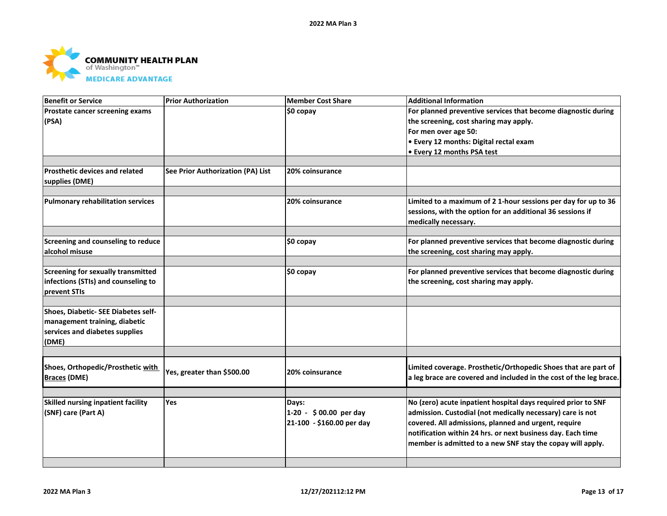

| <b>Benefit or Service</b>                            | <b>Prior Authorization</b>        | <b>Member Cost Share</b>  | <b>Additional Information</b>                                      |
|------------------------------------------------------|-----------------------------------|---------------------------|--------------------------------------------------------------------|
| Prostate cancer screening exams                      |                                   | $$0$ copay                | For planned preventive services that become diagnostic during      |
| (PSA)                                                |                                   |                           | the screening, cost sharing may apply.                             |
|                                                      |                                   |                           | For men over age 50:                                               |
|                                                      |                                   |                           | • Every 12 months: Digital rectal exam                             |
|                                                      |                                   |                           | I • Every 12 months PSA test                                       |
|                                                      |                                   |                           |                                                                    |
| <b>Prosthetic devices and related</b>                | See Prior Authorization (PA) List | 20% coinsurance           |                                                                    |
| supplies (DME)                                       |                                   |                           |                                                                    |
|                                                      |                                   |                           |                                                                    |
| <b>Pulmonary rehabilitation services</b>             |                                   | 20% coinsurance           | Limited to a maximum of 2 1-hour sessions per day for up to 36     |
|                                                      |                                   |                           | sessions, with the option for an additional 36 sessions if         |
|                                                      |                                   |                           | medically necessary.                                               |
|                                                      |                                   |                           |                                                                    |
| Screening and counseling to reduce<br>alcohol misuse |                                   | \$0 copay                 | For planned preventive services that become diagnostic during      |
|                                                      |                                   |                           | the screening, cost sharing may apply.                             |
| Screening for sexually transmitted                   |                                   | $$0$ copay                | For planned preventive services that become diagnostic during      |
| infections (STIs) and counseling to                  |                                   |                           | the screening, cost sharing may apply.                             |
| prevent STIs                                         |                                   |                           |                                                                    |
|                                                      |                                   |                           |                                                                    |
| Shoes, Diabetic- SEE Diabetes self-                  |                                   |                           |                                                                    |
| management training, diabetic                        |                                   |                           |                                                                    |
| services and diabetes supplies                       |                                   |                           |                                                                    |
| (DME)                                                |                                   |                           |                                                                    |
|                                                      |                                   |                           |                                                                    |
| Shoes, Orthopedic/Prosthetic with                    |                                   |                           | Limited coverage. Prosthetic/Orthopedic Shoes that are part of     |
| <b>Braces (DME)</b>                                  | Yes, greater than \$500.00        | 20% coinsurance           | a leg brace are covered and included in the cost of the leg brace. |
|                                                      |                                   |                           |                                                                    |
|                                                      |                                   |                           |                                                                    |
| Skilled nursing inpatient facility                   | Yes                               | Days:                     | No (zero) acute inpatient hospital days required prior to SNF      |
| (SNF) care (Part A)                                  |                                   | 1-20 - \$00.00 per day    | admission. Custodial (not medically necessary) care is not         |
|                                                      |                                   | 21-100 - \$160.00 per day | covered. All admissions, planned and urgent, require               |
|                                                      |                                   |                           | notification within 24 hrs. or next business day. Each time        |
|                                                      |                                   |                           | member is admitted to a new SNF stay the copay will apply.         |
|                                                      |                                   |                           |                                                                    |
|                                                      |                                   |                           |                                                                    |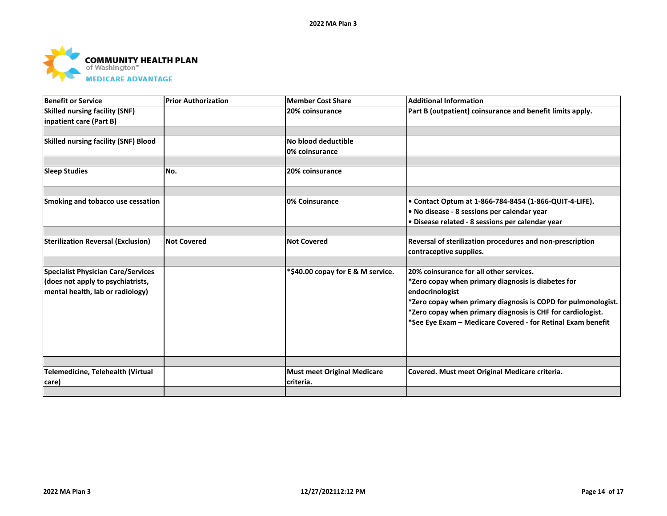

| <b>Benefit or Service</b>                   | <b>Prior Authorization</b> | <b>Member Cost Share</b>           | <b>Additional Information</b>                                 |
|---------------------------------------------|----------------------------|------------------------------------|---------------------------------------------------------------|
| <b>Skilled nursing facility (SNF)</b>       |                            | 20% coinsurance                    | Part B (outpatient) coinsurance and benefit limits apply.     |
| inpatient care (Part B)                     |                            |                                    |                                                               |
|                                             |                            |                                    |                                                               |
| <b>Skilled nursing facility (SNF) Blood</b> |                            | No blood deductible                |                                                               |
|                                             |                            | 0% coinsurance                     |                                                               |
|                                             |                            |                                    |                                                               |
| <b>Sleep Studies</b>                        | No.                        | 20% coinsurance                    |                                                               |
|                                             |                            |                                    |                                                               |
| Smoking and tobacco use cessation           |                            | 0% Coinsurance                     | • Contact Optum at 1-866-784-8454 (1-866-QUIT-4-LIFE).        |
|                                             |                            |                                    | . No disease - 8 sessions per calendar year                   |
|                                             |                            |                                    | · Disease related - 8 sessions per calendar year              |
|                                             |                            |                                    |                                                               |
| <b>Sterilization Reversal (Exclusion)</b>   | <b>Not Covered</b>         | <b>Not Covered</b>                 | Reversal of sterilization procedures and non-prescription     |
|                                             |                            |                                    | contraceptive supplies.                                       |
|                                             |                            |                                    |                                                               |
| <b>Specialist Physician Care/Services</b>   |                            | *\$40.00 copay for E & M service.  | 20% coinsurance for all other services.                       |
| (does not apply to psychiatrists,           |                            |                                    | *Zero copay when primary diagnosis is diabetes for            |
| mental health, lab or radiology)            |                            |                                    | endocrinologist                                               |
|                                             |                            |                                    | *Zero copay when primary diagnosis is COPD for pulmonologist. |
|                                             |                            |                                    | *Zero copay when primary diagnosis is CHF for cardiologist.   |
|                                             |                            |                                    | *See Eye Exam - Medicare Covered - for Retinal Exam benefit   |
|                                             |                            |                                    |                                                               |
|                                             |                            |                                    |                                                               |
|                                             |                            |                                    |                                                               |
| Telemedicine, Telehealth (Virtual           |                            | <b>Must meet Original Medicare</b> | Covered. Must meet Original Medicare criteria.                |
| care)                                       |                            | criteria.                          |                                                               |
|                                             |                            |                                    |                                                               |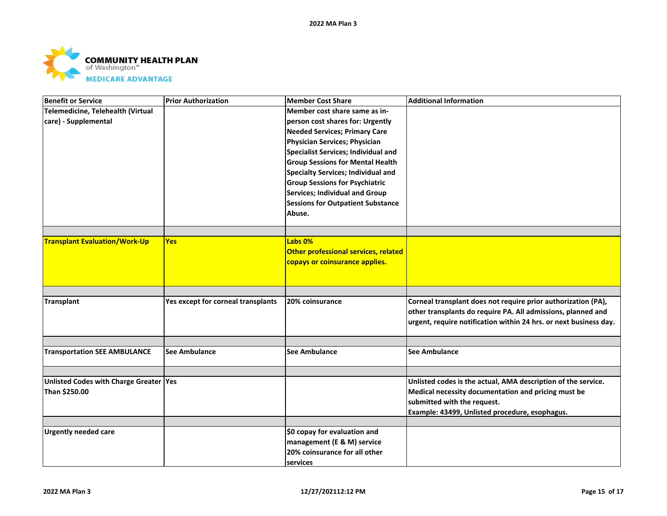

| <b>Benefit or Service</b>              | <b>Prior Authorization</b>         | Member Cost Share                          | <b>Additional Information</b>                                     |
|----------------------------------------|------------------------------------|--------------------------------------------|-------------------------------------------------------------------|
| Telemedicine, Telehealth (Virtual      |                                    | Member cost share same as in-              |                                                                   |
| care) - Supplemental                   |                                    | person cost shares for: Urgently           |                                                                   |
|                                        |                                    | <b>Needed Services; Primary Care</b>       |                                                                   |
|                                        |                                    | Physician Services; Physician              |                                                                   |
|                                        |                                    | <b>Specialist Services; Individual and</b> |                                                                   |
|                                        |                                    | <b>Group Sessions for Mental Health</b>    |                                                                   |
|                                        |                                    | <b>Specialty Services; Individual and</b>  |                                                                   |
|                                        |                                    | <b>Group Sessions for Psychiatric</b>      |                                                                   |
|                                        |                                    | <b>Services; Individual and Group</b>      |                                                                   |
|                                        |                                    | <b>Sessions for Outpatient Substance</b>   |                                                                   |
|                                        |                                    | Abuse.                                     |                                                                   |
|                                        |                                    |                                            |                                                                   |
|                                        |                                    |                                            |                                                                   |
| <b>Transplant Evaluation/Work-Up</b>   | <b>Yes</b>                         | Labs 0%                                    |                                                                   |
|                                        |                                    | Other professional services, related       |                                                                   |
|                                        |                                    | copays or coinsurance applies.             |                                                                   |
|                                        |                                    |                                            |                                                                   |
|                                        |                                    |                                            |                                                                   |
| <b>Transplant</b>                      | Yes except for corneal transplants | 20% coinsurance                            | Corneal transplant does not require prior authorization (PA),     |
|                                        |                                    |                                            | other transplants do require PA. All admissions, planned and      |
|                                        |                                    |                                            | urgent, require notification within 24 hrs. or next business day. |
|                                        |                                    |                                            |                                                                   |
|                                        |                                    |                                            |                                                                   |
| <b>Transportation SEE AMBULANCE</b>    | <b>See Ambulance</b>               | <b>See Ambulance</b>                       | <b>See Ambulance</b>                                              |
|                                        |                                    |                                            |                                                                   |
|                                        |                                    |                                            |                                                                   |
| Unlisted Codes with Charge Greater Yes |                                    |                                            | Unlisted codes is the actual, AMA description of the service.     |
| Than \$250.00                          |                                    |                                            | Medical necessity documentation and pricing must be               |
|                                        |                                    |                                            | submitted with the request.                                       |
|                                        |                                    |                                            | Example: 43499, Unlisted procedure, esophagus.                    |
| <b>Urgently needed care</b>            |                                    | \$0 copay for evaluation and               |                                                                   |
|                                        |                                    | management (E & M) service                 |                                                                   |
|                                        |                                    | 20% coinsurance for all other              |                                                                   |
|                                        |                                    | services                                   |                                                                   |
|                                        |                                    |                                            |                                                                   |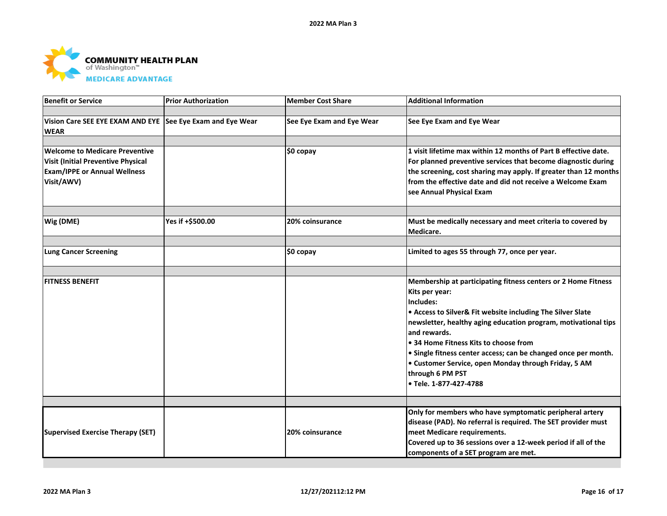

| <b>Benefit or Service</b>                                  | <b>Prior Authorization</b> | <b>Member Cost Share</b>  | <b>Additional Information</b>                                    |
|------------------------------------------------------------|----------------------------|---------------------------|------------------------------------------------------------------|
|                                                            |                            |                           |                                                                  |
| Vision Care SEE EYE EXAM AND EYE See Eye Exam and Eye Wear |                            | See Eye Exam and Eye Wear | See Eye Exam and Eye Wear                                        |
| <b>WEAR</b>                                                |                            |                           |                                                                  |
|                                                            |                            |                           |                                                                  |
| <b>Welcome to Medicare Preventive</b>                      |                            | $$0$ copay                | 1 visit lifetime max within 12 months of Part B effective date.  |
| <b>Visit (Initial Preventive Physical</b>                  |                            |                           | For planned preventive services that become diagnostic during    |
| <b>Exam/IPPE or Annual Wellness</b>                        |                            |                           | the screening, cost sharing may apply. If greater than 12 months |
| Visit/AWV)                                                 |                            |                           | from the effective date and did not receive a Welcome Exam       |
|                                                            |                            |                           | see Annual Physical Exam                                         |
|                                                            |                            |                           |                                                                  |
| Wig (DME)                                                  | Yes if +\$500.00           | 20% coinsurance           | Must be medically necessary and meet criteria to covered by      |
|                                                            |                            |                           | Medicare.                                                        |
|                                                            |                            |                           |                                                                  |
| <b>Lung Cancer Screening</b>                               |                            | \$0 copay                 | Limited to ages 55 through 77, once per year.                    |
|                                                            |                            |                           |                                                                  |
| <b>FITNESS BENEFIT</b>                                     |                            |                           | Membership at participating fitness centers or 2 Home Fitness    |
|                                                            |                            |                           | Kits per year:                                                   |
|                                                            |                            |                           | Includes:                                                        |
|                                                            |                            |                           | • Access to Silver& Fit website including The Silver Slate       |
|                                                            |                            |                           | newsletter, healthy aging education program, motivational tips   |
|                                                            |                            |                           | and rewards.                                                     |
|                                                            |                            |                           | • 34 Home Fitness Kits to choose from                            |
|                                                            |                            |                           | • Single fitness center access; can be changed once per month.   |
|                                                            |                            |                           | • Customer Service, open Monday through Friday, 5 AM             |
|                                                            |                            |                           | through 6 PM PST                                                 |
|                                                            |                            |                           | • Tele. 1-877-427-4788                                           |
|                                                            |                            |                           |                                                                  |
|                                                            |                            |                           | Only for members who have symptomatic peripheral artery          |
|                                                            |                            |                           | disease (PAD). No referral is required. The SET provider must    |
| <b>Supervised Exercise Therapy (SET)</b>                   |                            | 20% coinsurance           | meet Medicare requirements.                                      |
|                                                            |                            |                           | Covered up to 36 sessions over a 12-week period if all of the    |
|                                                            |                            |                           | components of a SET program are met.                             |